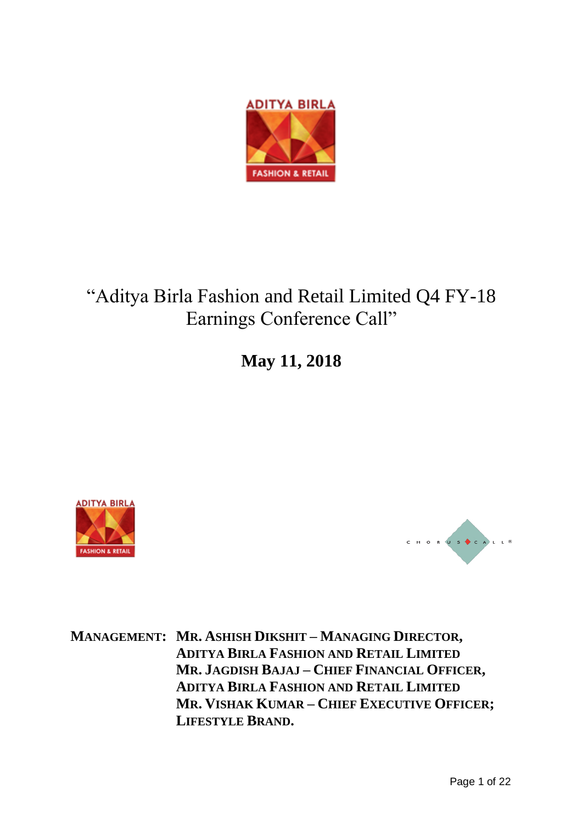

# "Aditya Birla Fashion and Retail Limited Q4 FY-18 Earnings Conference Call"

**May 11, 2018**





**MANAGEMENT: MR. ASHISH DIKSHIT – MANAGING DIRECTOR, ADITYA BIRLA FASHION AND RETAIL LIMITED MR. JAGDISH BAJAJ – CHIEF FINANCIAL OFFICER, ADITYA BIRLA FASHION AND RETAIL LIMITED MR. VISHAK KUMAR – CHIEF EXECUTIVE OFFICER; LIFESTYLE BRAND.**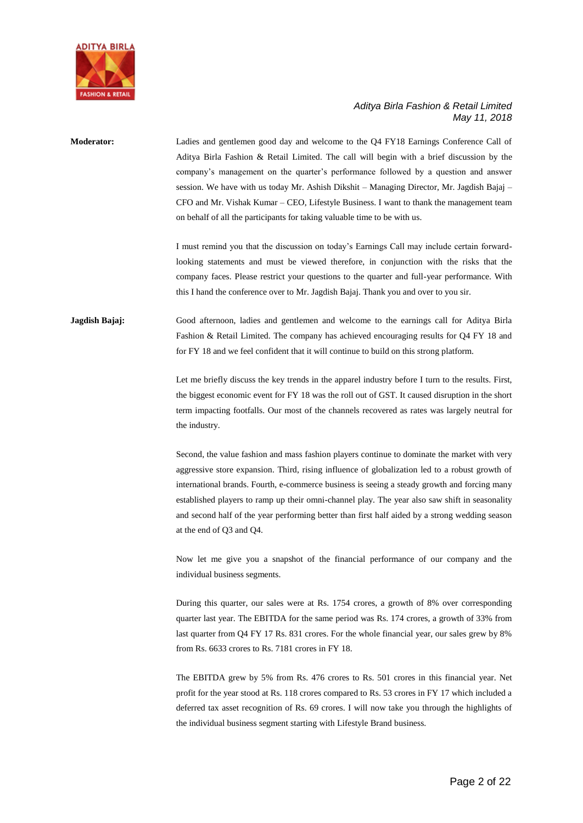

| <b>Moderator:</b> | Ladies and gentlemen good day and welcome to the Q4 FY18 Earnings Conference Call of<br>Aditya Birla Fashion & Retail Limited. The call will begin with a brief discussion by the<br>company's management on the quarter's performance followed by a question and answer<br>session. We have with us today Mr. Ashish Dikshit – Managing Director, Mr. Jagdish Bajaj –<br>CFO and Mr. Vishak Kumar – CEO, Lifestyle Business. I want to thank the management team<br>on behalf of all the participants for taking valuable time to be with us. |
|-------------------|------------------------------------------------------------------------------------------------------------------------------------------------------------------------------------------------------------------------------------------------------------------------------------------------------------------------------------------------------------------------------------------------------------------------------------------------------------------------------------------------------------------------------------------------|
|                   | I must remind you that the discussion on today's Earnings Call may include certain forward-<br>looking statements and must be viewed therefore, in conjunction with the risks that the<br>company faces. Please restrict your questions to the quarter and full-year performance. With<br>this I hand the conference over to Mr. Jagdish Bajaj. Thank you and over to you sir.                                                                                                                                                                 |
| Jagdish Bajaj:    | Good afternoon, ladies and gentlemen and welcome to the earnings call for Aditya Birla<br>Fashion & Retail Limited. The company has achieved encouraging results for Q4 FY 18 and<br>for FY 18 and we feel confident that it will continue to build on this strong platform.                                                                                                                                                                                                                                                                   |
|                   | Let me briefly discuss the key trends in the apparel industry before I turn to the results. First,<br>the biggest economic event for FY 18 was the roll out of GST. It caused disruption in the short<br>term impacting footfalls. Our most of the channels recovered as rates was largely neutral for<br>the industry.                                                                                                                                                                                                                        |
|                   | Second, the value fashion and mass fashion players continue to dominate the market with very<br>aggressive store expansion. Third, rising influence of globalization led to a robust growth of<br>international brands. Fourth, e-commerce business is seeing a steady growth and forcing many<br>established players to ramp up their omni-channel play. The year also saw shift in seasonality<br>and second half of the year performing better than first half aided by a strong wedding season<br>at the end of Q3 and Q4.                 |
|                   | Now let me give you a snapshot of the financial performance of our company and the<br>individual business segments.                                                                                                                                                                                                                                                                                                                                                                                                                            |
|                   | During this quarter, our sales were at Rs. 1754 crores, a growth of 8% over corresponding<br>quarter last year. The EBITDA for the same period was Rs. 174 crores, a growth of 33% from<br>last quarter from Q4 FY 17 Rs. 831 crores. For the whole financial year, our sales grew by 8%<br>from Rs. 6633 crores to Rs. 7181 crores in FY 18.                                                                                                                                                                                                  |
|                   | The EBITDA grew by 5% from Rs. 476 crores to Rs. 501 crores in this financial year. Net<br>profit for the year stood at Rs. 118 crores compared to Rs. 53 crores in FY 17 which included a<br>deferred tax asset recognition of Rs. 69 crores. I will now take you through the highlights of<br>the individual business segment starting with Lifestyle Brand business.                                                                                                                                                                        |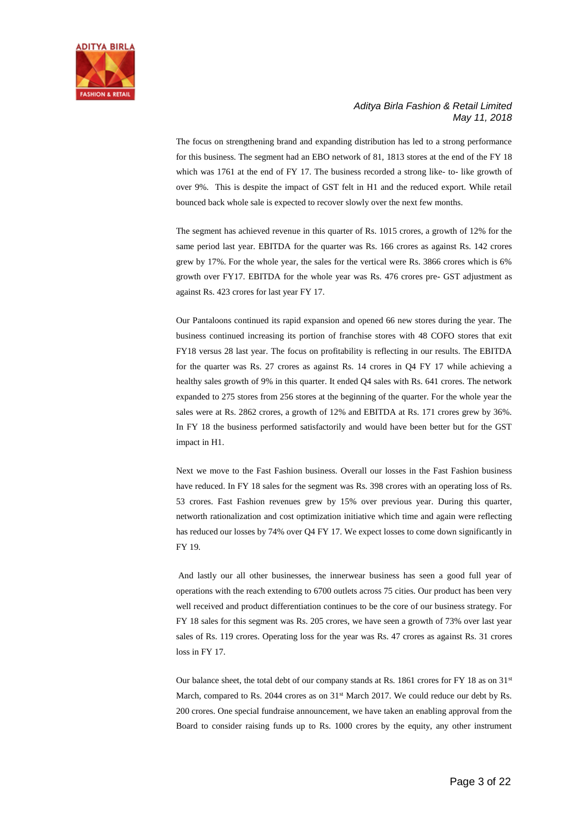

The focus on strengthening brand and expanding distribution has led to a strong performance for this business. The segment had an EBO network of 81, 1813 stores at the end of the FY 18 which was 1761 at the end of FY 17. The business recorded a strong like- to- like growth of over 9%. This is despite the impact of GST felt in H1 and the reduced export. While retail bounced back whole sale is expected to recover slowly over the next few months.

The segment has achieved revenue in this quarter of Rs. 1015 crores, a growth of 12% for the same period last year. EBITDA for the quarter was Rs. 166 crores as against Rs. 142 crores grew by 17%. For the whole year, the sales for the vertical were Rs. 3866 crores which is 6% growth over FY17. EBITDA for the whole year was Rs. 476 crores pre- GST adjustment as against Rs. 423 crores for last year FY 17.

Our Pantaloons continued its rapid expansion and opened 66 new stores during the year. The business continued increasing its portion of franchise stores with 48 COFO stores that exit FY18 versus 28 last year. The focus on profitability is reflecting in our results. The EBITDA for the quarter was Rs. 27 crores as against Rs. 14 crores in Q4 FY 17 while achieving a healthy sales growth of 9% in this quarter. It ended Q4 sales with Rs. 641 crores. The network expanded to 275 stores from 256 stores at the beginning of the quarter. For the whole year the sales were at Rs. 2862 crores, a growth of 12% and EBITDA at Rs. 171 crores grew by 36%. In FY 18 the business performed satisfactorily and would have been better but for the GST impact in H1.

Next we move to the Fast Fashion business. Overall our losses in the Fast Fashion business have reduced. In FY 18 sales for the segment was Rs. 398 crores with an operating loss of Rs. 53 crores. Fast Fashion revenues grew by 15% over previous year. During this quarter, networth rationalization and cost optimization initiative which time and again were reflecting has reduced our losses by 74% over Q4 FY 17. We expect losses to come down significantly in FY 19.

And lastly our all other businesses, the innerwear business has seen a good full year of operations with the reach extending to 6700 outlets across 75 cities. Our product has been very well received and product differentiation continues to be the core of our business strategy. For FY 18 sales for this segment was Rs. 205 crores, we have seen a growth of 73% over last year sales of Rs. 119 crores. Operating loss for the year was Rs. 47 crores as against Rs. 31 crores loss in FY 17.

Our balance sheet, the total debt of our company stands at Rs. 1861 crores for FY 18 as on  $31<sup>st</sup>$ March, compared to Rs. 2044 crores as on  $31<sup>st</sup>$  March 2017. We could reduce our debt by Rs. 200 crores. One special fundraise announcement, we have taken an enabling approval from the Board to consider raising funds up to Rs. 1000 crores by the equity, any other instrument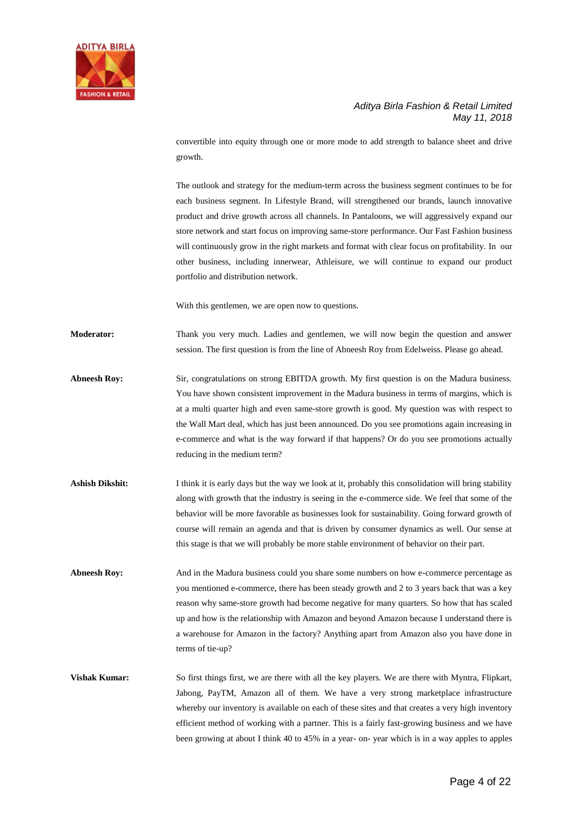

convertible into equity through one or more mode to add strength to balance sheet and drive growth.

The outlook and strategy for the medium-term across the business segment continues to be for each business segment. In Lifestyle Brand, will strengthened our brands, launch innovative product and drive growth across all channels. In Pantaloons, we will aggressively expand our store network and start focus on improving same-store performance. Our Fast Fashion business will continuously grow in the right markets and format with clear focus on profitability. In our other business, including innerwear, Athleisure, we will continue to expand our product portfolio and distribution network.

With this gentlemen, we are open now to questions.

**Moderator:** Thank you very much. Ladies and gentlemen, we will now begin the question and answer session. The first question is from the line of Abneesh Roy from Edelweiss. Please go ahead.

- **Abneesh Roy:** Sir, congratulations on strong EBITDA growth. My first question is on the Madura business. You have shown consistent improvement in the Madura business in terms of margins, which is at a multi quarter high and even same-store growth is good. My question was with respect to the Wall Mart deal, which has just been announced. Do you see promotions again increasing in e-commerce and what is the way forward if that happens? Or do you see promotions actually reducing in the medium term?
- **Ashish Dikshit:** I think it is early days but the way we look at it, probably this consolidation will bring stability along with growth that the industry is seeing in the e-commerce side. We feel that some of the behavior will be more favorable as businesses look for sustainability. Going forward growth of course will remain an agenda and that is driven by consumer dynamics as well. Our sense at this stage is that we will probably be more stable environment of behavior on their part.
- **Abneesh Roy:** And in the Madura business could you share some numbers on how e-commerce percentage as you mentioned e-commerce, there has been steady growth and 2 to 3 years back that was a key reason why same-store growth had become negative for many quarters. So how that has scaled up and how is the relationship with Amazon and beyond Amazon because I understand there is a warehouse for Amazon in the factory? Anything apart from Amazon also you have done in terms of tie-up?

**Vishak Kumar:** So first things first, we are there with all the key players. We are there with Myntra, Flipkart, Jabong, PayTM, Amazon all of them. We have a very strong marketplace infrastructure whereby our inventory is available on each of these sites and that creates a very high inventory efficient method of working with a partner. This is a fairly fast-growing business and we have been growing at about I think 40 to 45% in a year- on- year which is in a way apples to apples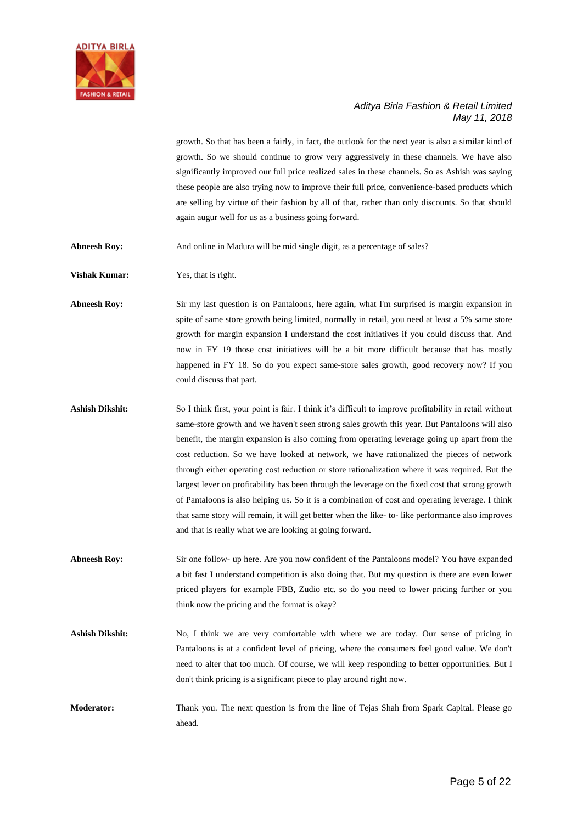

growth. So that has been a fairly, in fact, the outlook for the next year is also a similar kind of growth. So we should continue to grow very aggressively in these channels. We have also significantly improved our full price realized sales in these channels. So as Ashish was saying these people are also trying now to improve their full price, convenience-based products which are selling by virtue of their fashion by all of that, rather than only discounts. So that should again augur well for us as a business going forward.

Abneesh Roy: And online in Madura will be mid single digit, as a percentage of sales?

**Vishak Kumar:** Yes, that is right.

**Abneesh Roy:** Sir my last question is on Pantaloons, here again, what I'm surprised is margin expansion in spite of same store growth being limited, normally in retail, you need at least a 5% same store growth for margin expansion I understand the cost initiatives if you could discuss that. And now in FY 19 those cost initiatives will be a bit more difficult because that has mostly happened in FY 18. So do you expect same-store sales growth, good recovery now? If you could discuss that part.

- **Ashish Dikshit:** So I think first, your point is fair. I think it's difficult to improve profitability in retail without same-store growth and we haven't seen strong sales growth this year. But Pantaloons will also benefit, the margin expansion is also coming from operating leverage going up apart from the cost reduction. So we have looked at network, we have rationalized the pieces of network through either operating cost reduction or store rationalization where it was required. But the largest lever on profitability has been through the leverage on the fixed cost that strong growth of Pantaloons is also helping us. So it is a combination of cost and operating leverage. I think that same story will remain, it will get better when the like- to- like performance also improves and that is really what we are looking at going forward.
- **Abneesh Roy:** Sir one follow- up here. Are you now confident of the Pantaloons model? You have expanded a bit fast I understand competition is also doing that. But my question is there are even lower priced players for example FBB, Zudio etc. so do you need to lower pricing further or you think now the pricing and the format is okay?
- **Ashish Dikshit:** No, I think we are very comfortable with where we are today. Our sense of pricing in Pantaloons is at a confident level of pricing, where the consumers feel good value. We don't need to alter that too much. Of course, we will keep responding to better opportunities. But I don't think pricing is a significant piece to play around right now.
- **Moderator:** Thank you. The next question is from the line of Tejas Shah from Spark Capital. Please go ahead.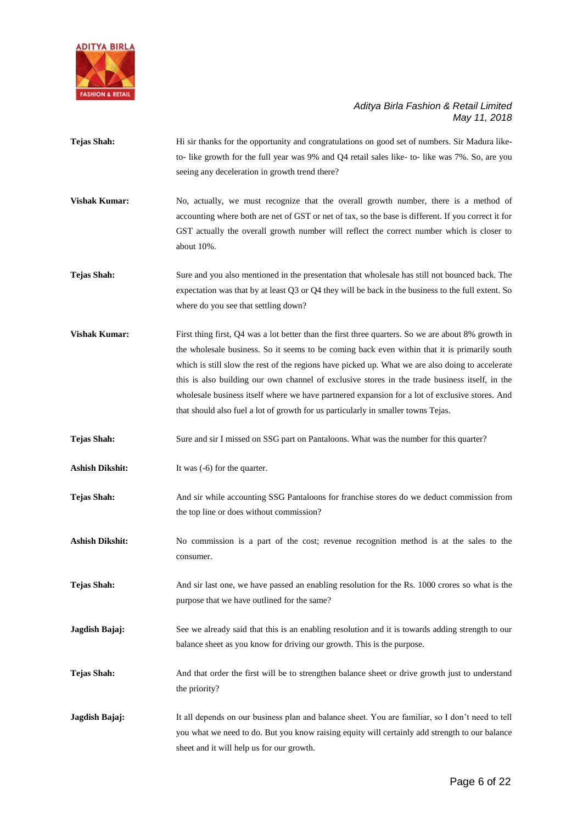

- **Tejas Shah:** Hi sir thanks for the opportunity and congratulations on good set of numbers. Sir Madura liketo- like growth for the full year was 9% and Q4 retail sales like- to- like was 7%. So, are you seeing any deceleration in growth trend there?
- **Vishak Kumar:** No, actually, we must recognize that the overall growth number, there is a method of accounting where both are net of GST or net of tax, so the base is different. If you correct it for GST actually the overall growth number will reflect the correct number which is closer to about 10%.
- **Tejas Shah:** Sure and you also mentioned in the presentation that wholesale has still not bounced back. The expectation was that by at least Q3 or Q4 they will be back in the business to the full extent. So where do you see that settling down?
- **Vishak Kumar:** First thing first, Q4 was a lot better than the first three quarters. So we are about 8% growth in the wholesale business. So it seems to be coming back even within that it is primarily south which is still slow the rest of the regions have picked up. What we are also doing to accelerate this is also building our own channel of exclusive stores in the trade business itself, in the wholesale business itself where we have partnered expansion for a lot of exclusive stores. And that should also fuel a lot of growth for us particularly in smaller towns Tejas.
- Tejas Shah: Sure and sir I missed on SSG part on Pantaloons. What was the number for this quarter?
- Ashish Dikshit: It was (-6) for the quarter.
- **Tejas Shah:** And sir while accounting SSG Pantaloons for franchise stores do we deduct commission from the top line or does without commission?
- Ashish Dikshit: No commission is a part of the cost; revenue recognition method is at the sales to the consumer.
- **Tejas Shah:** And sir last one, we have passed an enabling resolution for the Rs. 1000 crores so what is the purpose that we have outlined for the same?
- **Jagdish Bajaj:** See we already said that this is an enabling resolution and it is towards adding strength to our balance sheet as you know for driving our growth. This is the purpose.
- **Tejas Shah:** And that order the first will be to strengthen balance sheet or drive growth just to understand the priority?
- **Jagdish Bajaj:** It all depends on our business plan and balance sheet. You are familiar, so I don't need to tell you what we need to do. But you know raising equity will certainly add strength to our balance sheet and it will help us for our growth.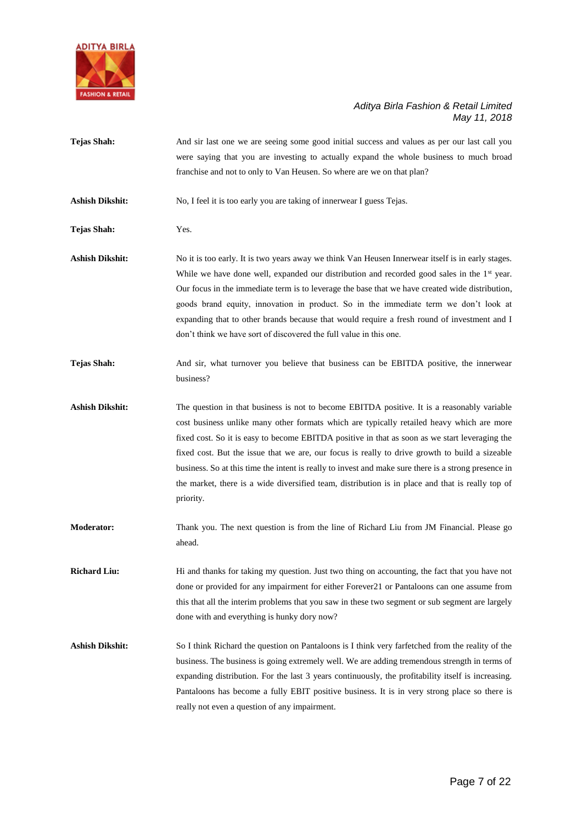

**Tejas Shah:** And sir last one we are seeing some good initial success and values as per our last call you were saying that you are investing to actually expand the whole business to much broad franchise and not to only to Van Heusen. So where are we on that plan? Ashish Dikshit: No, I feel it is too early you are taking of innerwear I guess Tejas. **Tejas Shah:** Yes. Ashish Dikshit: No it is too early. It is two years away we think Van Heusen Innerwear itself is in early stages. While we have done well, expanded our distribution and recorded good sales in the 1<sup>st</sup> year. Our focus in the immediate term is to leverage the base that we have created wide distribution, goods brand equity, innovation in product. So in the immediate term we don't look at expanding that to other brands because that would require a fresh round of investment and I don't think we have sort of discovered the full value in this one. **Tejas Shah:** And sir, what turnover you believe that business can be EBITDA positive, the innerwear business? Ashish Dikshit: The question in that business is not to become EBITDA positive. It is a reasonably variable cost business unlike many other formats which are typically retailed heavy which are more fixed cost. So it is easy to become EBITDA positive in that as soon as we start leveraging the fixed cost. But the issue that we are, our focus is really to drive growth to build a sizeable business. So at this time the intent is really to invest and make sure there is a strong presence in the market, there is a wide diversified team, distribution is in place and that is really top of priority. **Moderator:** Thank you. The next question is from the line of Richard Liu from JM Financial. Please go ahead. **Richard Liu:** Hi and thanks for taking my question. Just two thing on accounting, the fact that you have not done or provided for any impairment for either Forever21 or Pantaloons can one assume from this that all the interim problems that you saw in these two segment or sub segment are largely done with and everything is hunky dory now? **Ashish Dikshit:** So I think Richard the question on Pantaloons is I think very farfetched from the reality of the business. The business is going extremely well. We are adding tremendous strength in terms of expanding distribution. For the last 3 years continuously, the profitability itself is increasing.

Pantaloons has become a fully EBIT positive business. It is in very strong place so there is

really not even a question of any impairment.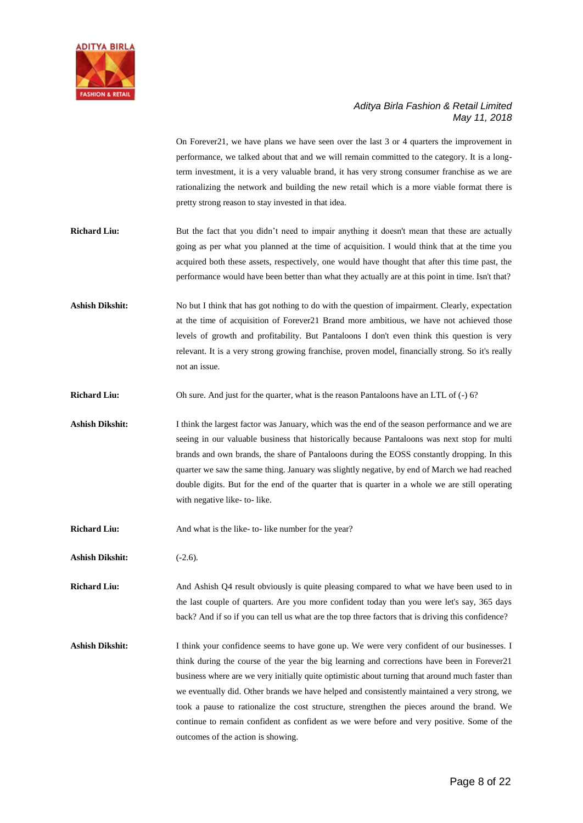

On Forever21, we have plans we have seen over the last 3 or 4 quarters the improvement in performance, we talked about that and we will remain committed to the category. It is a longterm investment, it is a very valuable brand, it has very strong consumer franchise as we are rationalizing the network and building the new retail which is a more viable format there is pretty strong reason to stay invested in that idea.

- **Richard Liu:** But the fact that you didn't need to impair anything it doesn't mean that these are actually going as per what you planned at the time of acquisition. I would think that at the time you acquired both these assets, respectively, one would have thought that after this time past, the performance would have been better than what they actually are at this point in time. Isn't that?
- Ashish Dikshit: No but I think that has got nothing to do with the question of impairment. Clearly, expectation at the time of acquisition of Forever21 Brand more ambitious, we have not achieved those levels of growth and profitability. But Pantaloons I don't even think this question is very relevant. It is a very strong growing franchise, proven model, financially strong. So it's really not an issue.
- **Richard Liu:** Oh sure. And just for the quarter, what is the reason Pantaloons have an LTL of (-) 6?
- Ashish Dikshit: I think the largest factor was January, which was the end of the season performance and we are seeing in our valuable business that historically because Pantaloons was next stop for multi brands and own brands, the share of Pantaloons during the EOSS constantly dropping. In this quarter we saw the same thing. January was slightly negative, by end of March we had reached double digits. But for the end of the quarter that is quarter in a whole we are still operating with negative like- to- like.
- **Richard Liu:** And what is the like- to- like number for the year?
- **Ashish Dikshit:** (-2.6).

**Richard Liu:** And Ashish Q4 result obviously is quite pleasing compared to what we have been used to in the last couple of quarters. Are you more confident today than you were let's say, 365 days back? And if so if you can tell us what are the top three factors that is driving this confidence?

Ashish Dikshit: I think your confidence seems to have gone up. We were very confident of our businesses. I think during the course of the year the big learning and corrections have been in Forever21 business where are we very initially quite optimistic about turning that around much faster than we eventually did. Other brands we have helped and consistently maintained a very strong, we took a pause to rationalize the cost structure, strengthen the pieces around the brand. We continue to remain confident as confident as we were before and very positive. Some of the outcomes of the action is showing.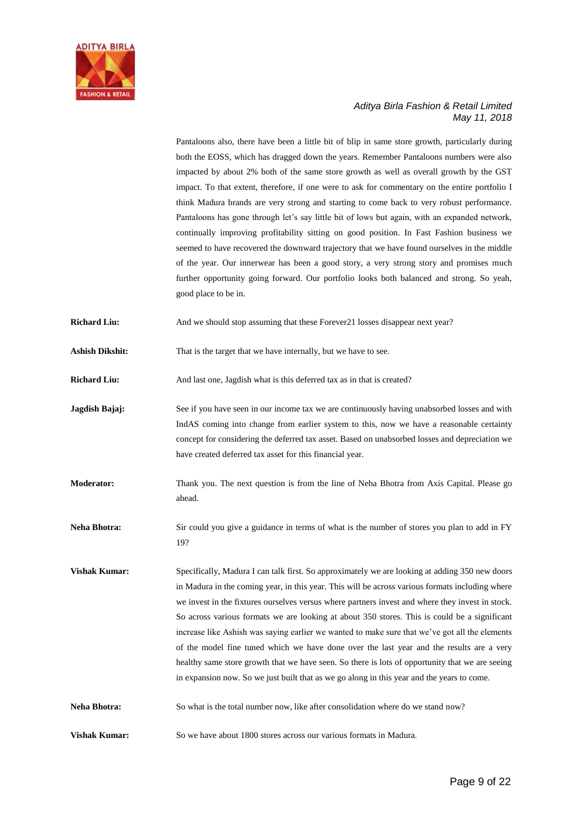

Pantaloons also, there have been a little bit of blip in same store growth, particularly during both the EOSS, which has dragged down the years. Remember Pantaloons numbers were also impacted by about 2% both of the same store growth as well as overall growth by the GST impact. To that extent, therefore, if one were to ask for commentary on the entire portfolio I think Madura brands are very strong and starting to come back to very robust performance. Pantaloons has gone through let's say little bit of lows but again, with an expanded network, continually improving profitability sitting on good position. In Fast Fashion business we seemed to have recovered the downward trajectory that we have found ourselves in the middle of the year. Our innerwear has been a good story, a very strong story and promises much further opportunity going forward. Our portfolio looks both balanced and strong. So yeah, good place to be in.

**Richard Liu:** And we should stop assuming that these Forever21 losses disappear next year?

**Ashish Dikshit:** That is the target that we have internally, but we have to see.

**Richard Liu:** And last one, Jagdish what is this deferred tax as in that is created?

**Jagdish Bajaj:** See if you have seen in our income tax we are continuously having unabsorbed losses and with IndAS coming into change from earlier system to this, now we have a reasonable certainty concept for considering the deferred tax asset. Based on unabsorbed losses and depreciation we have created deferred tax asset for this financial year.

**Moderator:** Thank you. The next question is from the line of Neha Bhotra from Axis Capital. Please go ahead.

**Neha Bhotra:** Sir could you give a guidance in terms of what is the number of stores you plan to add in FY 19?

**Vishak Kumar:** Specifically, Madura I can talk first. So approximately we are looking at adding 350 new doors in Madura in the coming year, in this year. This will be across various formats including where we invest in the fixtures ourselves versus where partners invest and where they invest in stock. So across various formats we are looking at about 350 stores. This is could be a significant increase like Ashish was saying earlier we wanted to make sure that we've got all the elements of the model fine tuned which we have done over the last year and the results are a very healthy same store growth that we have seen. So there is lots of opportunity that we are seeing in expansion now. So we just built that as we go along in this year and the years to come.

Neha Bhotra: So what is the total number now, like after consolidation where do we stand now?

**Vishak Kumar:** So we have about 1800 stores across our various formats in Madura.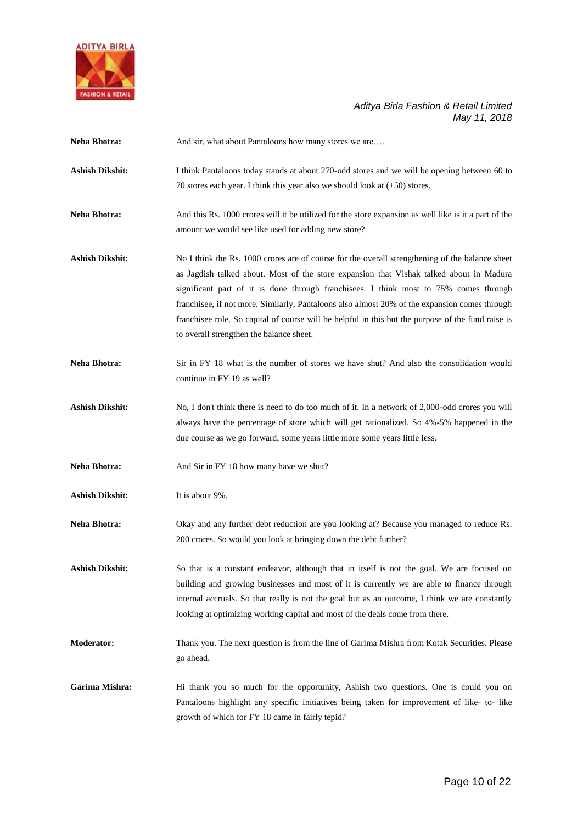

| Neha Bhotra:           | And sir, what about Pantaloons how many stores we are                                                                                                                                                                                                                                                                                                                                                                                                                                                                                 |
|------------------------|---------------------------------------------------------------------------------------------------------------------------------------------------------------------------------------------------------------------------------------------------------------------------------------------------------------------------------------------------------------------------------------------------------------------------------------------------------------------------------------------------------------------------------------|
| <b>Ashish Dikshit:</b> | I think Pantaloons today stands at about 270-odd stores and we will be opening between 60 to<br>70 stores each year. I think this year also we should look at $(+50)$ stores.                                                                                                                                                                                                                                                                                                                                                         |
| Neha Bhotra:           | And this Rs. 1000 crores will it be utilized for the store expansion as well like is it a part of the<br>amount we would see like used for adding new store?                                                                                                                                                                                                                                                                                                                                                                          |
| <b>Ashish Dikshit:</b> | No I think the Rs. 1000 crores are of course for the overall strengthening of the balance sheet<br>as Jagdish talked about. Most of the store expansion that Vishak talked about in Madura<br>significant part of it is done through franchises. I think most to 75% comes through<br>franchisee, if not more. Similarly, Pantaloons also almost 20% of the expansion comes through<br>franchisee role. So capital of course will be helpful in this but the purpose of the fund raise is<br>to overall strengthen the balance sheet. |
| Neha Bhotra:           | Sir in FY 18 what is the number of stores we have shut? And also the consolidation would<br>continue in FY 19 as well?                                                                                                                                                                                                                                                                                                                                                                                                                |
| <b>Ashish Dikshit:</b> | No, I don't think there is need to do too much of it. In a network of 2,000-odd crores you will<br>always have the percentage of store which will get rationalized. So 4%-5% happened in the<br>due course as we go forward, some years little more some years little less.                                                                                                                                                                                                                                                           |
| <b>Neha Bhotra:</b>    | And Sir in FY 18 how many have we shut?                                                                                                                                                                                                                                                                                                                                                                                                                                                                                               |
| <b>Ashish Dikshit:</b> | It is about 9%.                                                                                                                                                                                                                                                                                                                                                                                                                                                                                                                       |
| <b>Neha Bhotra:</b>    | Okay and any further debt reduction are you looking at? Because you managed to reduce Rs.<br>200 crores. So would you look at bringing down the debt further?                                                                                                                                                                                                                                                                                                                                                                         |
| Ashish Dikshit:        | So that is a constant endeavor, although that in itself is not the goal. We are focused on<br>building and growing businesses and most of it is currently we are able to finance through<br>internal accruals. So that really is not the goal but as an outcome, I think we are constantly<br>looking at optimizing working capital and most of the deals come from there.                                                                                                                                                            |
| <b>Moderator:</b>      | Thank you. The next question is from the line of Garima Mishra from Kotak Securities. Please<br>go ahead.                                                                                                                                                                                                                                                                                                                                                                                                                             |
| Garima Mishra:         | Hi thank you so much for the opportunity, Ashish two questions. One is could you on<br>Pantaloons highlight any specific initiatives being taken for improvement of like- to- like<br>growth of which for FY 18 came in fairly tepid?                                                                                                                                                                                                                                                                                                 |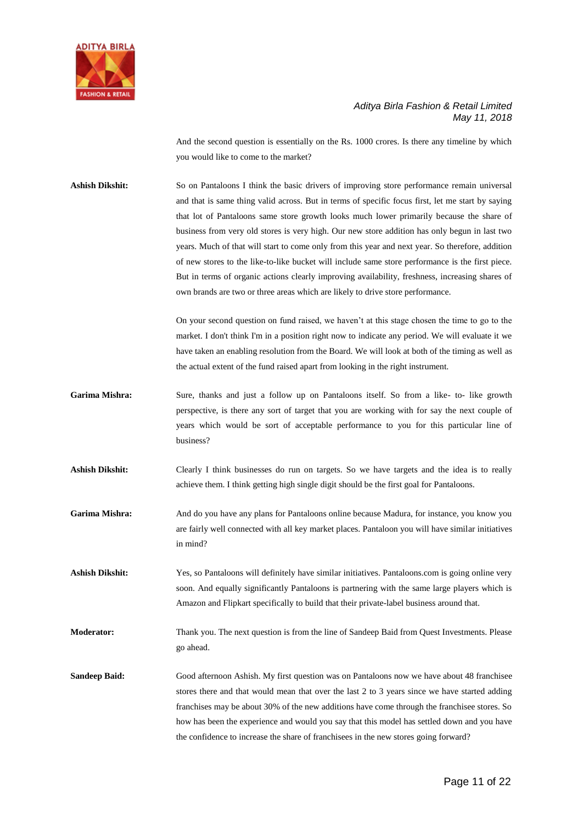

And the second question is essentially on the Rs. 1000 crores. Is there any timeline by which you would like to come to the market?

**Ashish Dikshit:** So on Pantaloons I think the basic drivers of improving store performance remain universal and that is same thing valid across. But in terms of specific focus first, let me start by saying that lot of Pantaloons same store growth looks much lower primarily because the share of business from very old stores is very high. Our new store addition has only begun in last two years. Much of that will start to come only from this year and next year. So therefore, addition of new stores to the like-to-like bucket will include same store performance is the first piece. But in terms of organic actions clearly improving availability, freshness, increasing shares of own brands are two or three areas which are likely to drive store performance.

> On your second question on fund raised, we haven't at this stage chosen the time to go to the market. I don't think I'm in a position right now to indicate any period. We will evaluate it we have taken an enabling resolution from the Board. We will look at both of the timing as well as the actual extent of the fund raised apart from looking in the right instrument.

- **Garima Mishra:** Sure, thanks and just a follow up on Pantaloons itself. So from a like- to- like growth perspective, is there any sort of target that you are working with for say the next couple of years which would be sort of acceptable performance to you for this particular line of business?
- **Ashish Dikshit:** Clearly I think businesses do run on targets. So we have targets and the idea is to really achieve them. I think getting high single digit should be the first goal for Pantaloons.
- **Garima Mishra:** And do you have any plans for Pantaloons online because Madura, for instance, you know you are fairly well connected with all key market places. Pantaloon you will have similar initiatives in mind?
- **Ashish Dikshit:** Yes, so Pantaloons will definitely have similar initiatives. Pantaloons.com is going online very soon. And equally significantly Pantaloons is partnering with the same large players which is Amazon and Flipkart specifically to build that their private-label business around that.
- **Moderator:** Thank you. The next question is from the line of Sandeep Baid from Quest Investments. Please go ahead.
- **Sandeep Baid:** Good afternoon Ashish. My first question was on Pantaloons now we have about 48 franchisee stores there and that would mean that over the last 2 to 3 years since we have started adding franchises may be about 30% of the new additions have come through the franchisee stores. So how has been the experience and would you say that this model has settled down and you have the confidence to increase the share of franchisees in the new stores going forward?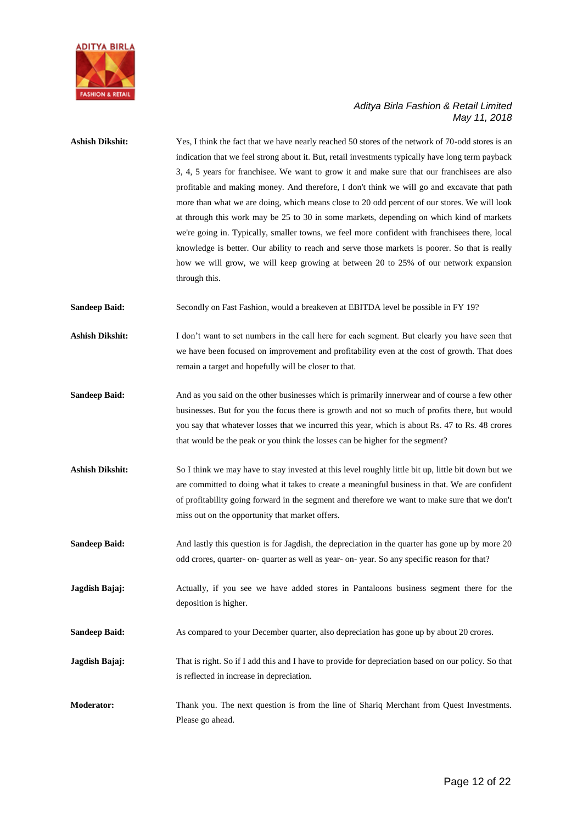

| <b>Ashish Dikshit:</b> | Yes, I think the fact that we have nearly reached 50 stores of the network of 70-odd stores is an<br>indication that we feel strong about it. But, retail investments typically have long term payback<br>3, 4, 5 years for franchisee. We want to grow it and make sure that our franchisees are also<br>profitable and making money. And therefore, I don't think we will go and excavate that path<br>more than what we are doing, which means close to 20 odd percent of our stores. We will look<br>at through this work may be 25 to 30 in some markets, depending on which kind of markets<br>we're going in. Typically, smaller towns, we feel more confident with franchisees there, local<br>knowledge is better. Our ability to reach and serve those markets is poorer. So that is really<br>how we will grow, we will keep growing at between 20 to 25% of our network expansion<br>through this. |
|------------------------|----------------------------------------------------------------------------------------------------------------------------------------------------------------------------------------------------------------------------------------------------------------------------------------------------------------------------------------------------------------------------------------------------------------------------------------------------------------------------------------------------------------------------------------------------------------------------------------------------------------------------------------------------------------------------------------------------------------------------------------------------------------------------------------------------------------------------------------------------------------------------------------------------------------|
| <b>Sandeep Baid:</b>   | Secondly on Fast Fashion, would a breakeven at EBITDA level be possible in FY 19?                                                                                                                                                                                                                                                                                                                                                                                                                                                                                                                                                                                                                                                                                                                                                                                                                              |
| <b>Ashish Dikshit:</b> | I don't want to set numbers in the call here for each segment. But clearly you have seen that<br>we have been focused on improvement and profitability even at the cost of growth. That does<br>remain a target and hopefully will be closer to that.                                                                                                                                                                                                                                                                                                                                                                                                                                                                                                                                                                                                                                                          |
| <b>Sandeep Baid:</b>   | And as you said on the other businesses which is primarily innerwear and of course a few other<br>businesses. But for you the focus there is growth and not so much of profits there, but would<br>you say that whatever losses that we incurred this year, which is about Rs. 47 to Rs. 48 crores<br>that would be the peak or you think the losses can be higher for the segment?                                                                                                                                                                                                                                                                                                                                                                                                                                                                                                                            |
| <b>Ashish Dikshit:</b> | So I think we may have to stay invested at this level roughly little bit up, little bit down but we<br>are committed to doing what it takes to create a meaningful business in that. We are confident<br>of profitability going forward in the segment and therefore we want to make sure that we don't<br>miss out on the opportunity that market offers.                                                                                                                                                                                                                                                                                                                                                                                                                                                                                                                                                     |
| <b>Sandeep Baid:</b>   | And lastly this question is for Jagdish, the depreciation in the quarter has gone up by more 20<br>odd crores, quarter- on- quarter as well as year- on-year. So any specific reason for that?                                                                                                                                                                                                                                                                                                                                                                                                                                                                                                                                                                                                                                                                                                                 |
| Jagdish Bajaj:         | Actually, if you see we have added stores in Pantaloons business segment there for the<br>deposition is higher.                                                                                                                                                                                                                                                                                                                                                                                                                                                                                                                                                                                                                                                                                                                                                                                                |
| <b>Sandeep Baid:</b>   | As compared to your December quarter, also depreciation has gone up by about 20 crores.                                                                                                                                                                                                                                                                                                                                                                                                                                                                                                                                                                                                                                                                                                                                                                                                                        |
| Jagdish Bajaj:         | That is right. So if I add this and I have to provide for depreciation based on our policy. So that<br>is reflected in increase in depreciation.                                                                                                                                                                                                                                                                                                                                                                                                                                                                                                                                                                                                                                                                                                                                                               |
| <b>Moderator:</b>      | Thank you. The next question is from the line of Shariq Merchant from Quest Investments.<br>Please go ahead.                                                                                                                                                                                                                                                                                                                                                                                                                                                                                                                                                                                                                                                                                                                                                                                                   |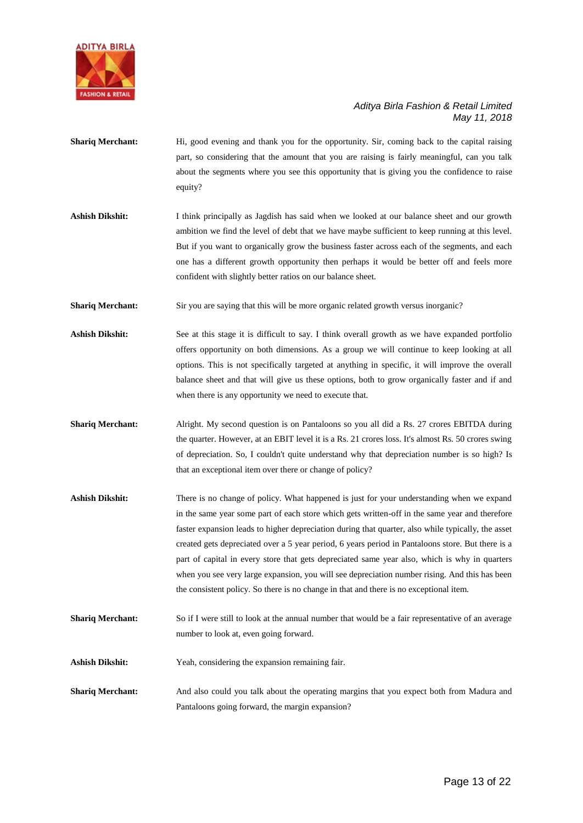

- **Shariq Merchant:** Hi, good evening and thank you for the opportunity. Sir, coming back to the capital raising part, so considering that the amount that you are raising is fairly meaningful, can you talk about the segments where you see this opportunity that is giving you the confidence to raise equity?
- **Ashish Dikshit:** I think principally as Jagdish has said when we looked at our balance sheet and our growth ambition we find the level of debt that we have maybe sufficient to keep running at this level. But if you want to organically grow the business faster across each of the segments, and each one has a different growth opportunity then perhaps it would be better off and feels more confident with slightly better ratios on our balance sheet.
- **Shariq Merchant:** Sir you are saying that this will be more organic related growth versus inorganic?
- Ashish Dikshit: See at this stage it is difficult to say. I think overall growth as we have expanded portfolio offers opportunity on both dimensions. As a group we will continue to keep looking at all options. This is not specifically targeted at anything in specific, it will improve the overall balance sheet and that will give us these options, both to grow organically faster and if and when there is any opportunity we need to execute that.
- **Shariq Merchant:** Alright. My second question is on Pantaloons so you all did a Rs. 27 crores EBITDA during the quarter. However, at an EBIT level it is a Rs. 21 crores loss. It's almost Rs. 50 crores swing of depreciation. So, I couldn't quite understand why that depreciation number is so high? Is that an exceptional item over there or change of policy?
- **Ashish Dikshit:** There is no change of policy. What happened is just for your understanding when we expand in the same year some part of each store which gets written-off in the same year and therefore faster expansion leads to higher depreciation during that quarter, also while typically, the asset created gets depreciated over a 5 year period, 6 years period in Pantaloons store. But there is a part of capital in every store that gets depreciated same year also, which is why in quarters when you see very large expansion, you will see depreciation number rising. And this has been the consistent policy. So there is no change in that and there is no exceptional item.
- **Shariq Merchant:** So if I were still to look at the annual number that would be a fair representative of an average number to look at, even going forward.
- **Ashish Dikshit:** Yeah, considering the expansion remaining fair.
- **Shariq Merchant:** And also could you talk about the operating margins that you expect both from Madura and Pantaloons going forward, the margin expansion?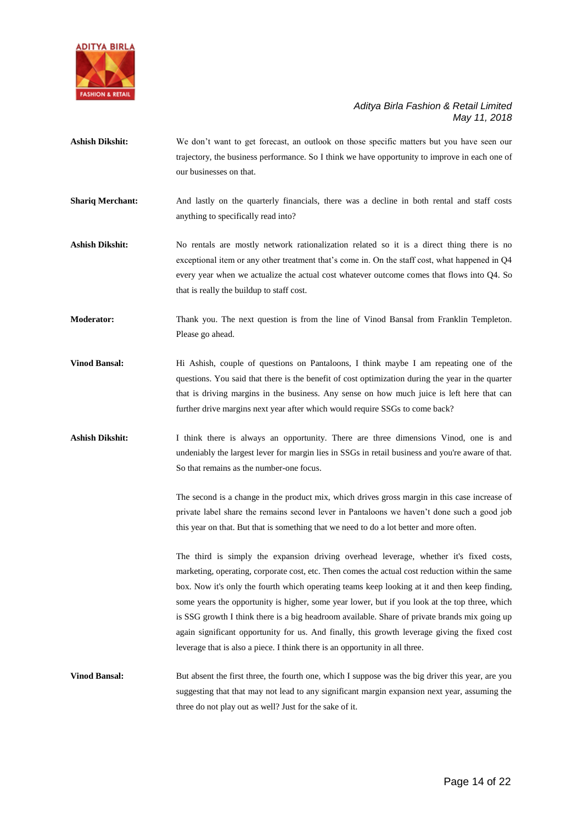

- Ashish Dikshit: We don't want to get forecast, an outlook on those specific matters but you have seen our trajectory, the business performance. So I think we have opportunity to improve in each one of our businesses on that.
- **Shariq Merchant:** And lastly on the quarterly financials, there was a decline in both rental and staff costs anything to specifically read into?
- Ashish Dikshit: No rentals are mostly network rationalization related so it is a direct thing there is no exceptional item or any other treatment that's come in. On the staff cost, what happened in Q4 every year when we actualize the actual cost whatever outcome comes that flows into Q4. So that is really the buildup to staff cost.
- **Moderator:** Thank you. The next question is from the line of Vinod Bansal from Franklin Templeton. Please go ahead.
- **Vinod Bansal:** Hi Ashish, couple of questions on Pantaloons, I think maybe I am repeating one of the questions. You said that there is the benefit of cost optimization during the year in the quarter that is driving margins in the business. Any sense on how much juice is left here that can further drive margins next year after which would require SSGs to come back?
- Ashish Dikshit: I think there is always an opportunity. There are three dimensions Vinod, one is and undeniably the largest lever for margin lies in SSGs in retail business and you're aware of that. So that remains as the number-one focus.

The second is a change in the product mix, which drives gross margin in this case increase of private label share the remains second lever in Pantaloons we haven't done such a good job this year on that. But that is something that we need to do a lot better and more often.

The third is simply the expansion driving overhead leverage, whether it's fixed costs, marketing, operating, corporate cost, etc. Then comes the actual cost reduction within the same box. Now it's only the fourth which operating teams keep looking at it and then keep finding, some years the opportunity is higher, some year lower, but if you look at the top three, which is SSG growth I think there is a big headroom available. Share of private brands mix going up again significant opportunity for us. And finally, this growth leverage giving the fixed cost leverage that is also a piece. I think there is an opportunity in all three.

**Vinod Bansal:** But absent the first three, the fourth one, which I suppose was the big driver this year, are you suggesting that that may not lead to any significant margin expansion next year, assuming the three do not play out as well? Just for the sake of it.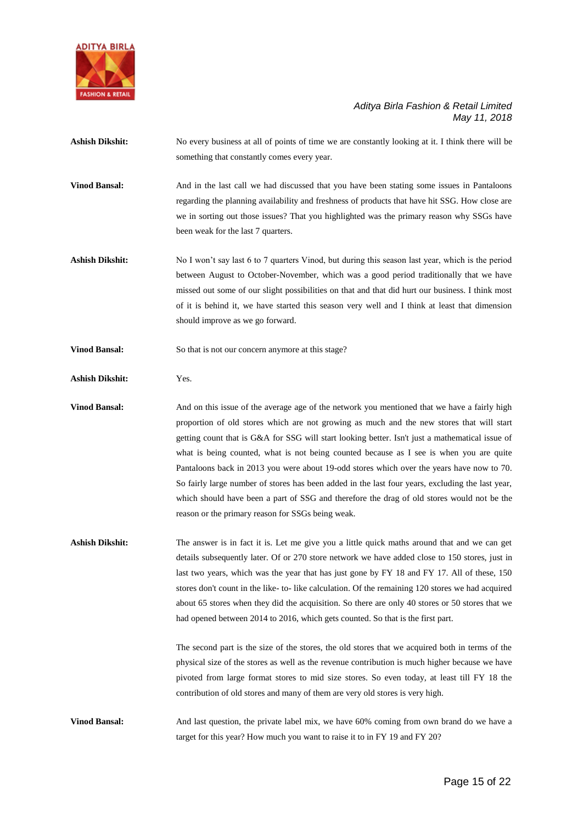

- **Ashish Dikshit:** No every business at all of points of time we are constantly looking at it. I think there will be something that constantly comes every year.
- **Vinod Bansal:** And in the last call we had discussed that you have been stating some issues in Pantaloons regarding the planning availability and freshness of products that have hit SSG. How close are we in sorting out those issues? That you highlighted was the primary reason why SSGs have been weak for the last 7 quarters.
- **Ashish Dikshit:** No I won't say last 6 to 7 quarters Vinod, but during this season last year, which is the period between August to October-November, which was a good period traditionally that we have missed out some of our slight possibilities on that and that did hurt our business. I think most of it is behind it, we have started this season very well and I think at least that dimension should improve as we go forward.
- **Vinod Bansal:** So that is not our concern anymore at this stage?
- **Ashish Dikshit:** Yes.

**Vinod Bansal:** And on this issue of the average age of the network you mentioned that we have a fairly high proportion of old stores which are not growing as much and the new stores that will start getting count that is G&A for SSG will start looking better. Isn't just a mathematical issue of what is being counted, what is not being counted because as I see is when you are quite Pantaloons back in 2013 you were about 19-odd stores which over the years have now to 70. So fairly large number of stores has been added in the last four years, excluding the last year, which should have been a part of SSG and therefore the drag of old stores would not be the reason or the primary reason for SSGs being weak.

**Ashish Dikshit:** The answer is in fact it is. Let me give you a little quick maths around that and we can get details subsequently later. Of or 270 store network we have added close to 150 stores, just in last two years, which was the year that has just gone by FY 18 and FY 17. All of these, 150 stores don't count in the like- to- like calculation. Of the remaining 120 stores we had acquired about 65 stores when they did the acquisition. So there are only 40 stores or 50 stores that we had opened between 2014 to 2016, which gets counted. So that is the first part.

> The second part is the size of the stores, the old stores that we acquired both in terms of the physical size of the stores as well as the revenue contribution is much higher because we have pivoted from large format stores to mid size stores. So even today, at least till FY 18 the contribution of old stores and many of them are very old stores is very high.

**Vinod Bansal:** And last question, the private label mix, we have 60% coming from own brand do we have a target for this year? How much you want to raise it to in FY 19 and FY 20?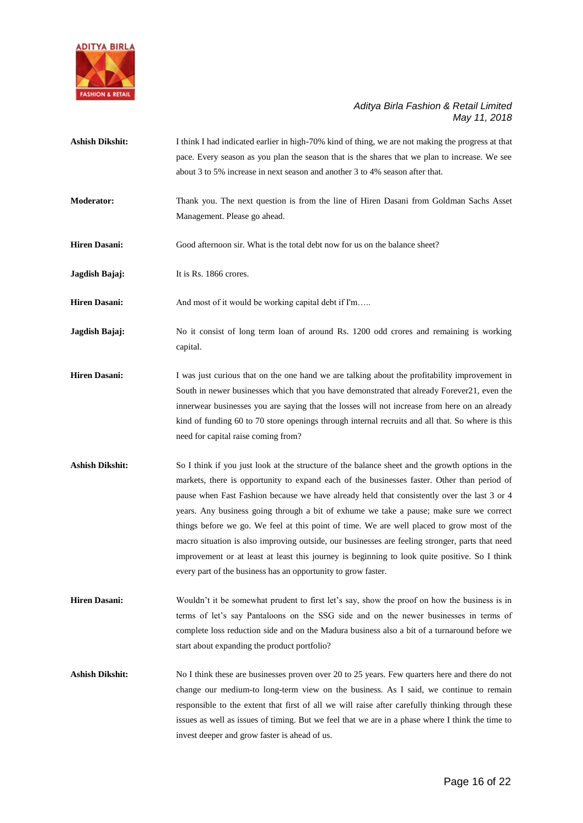

- **Ashish Dikshit:** I think I had indicated earlier in high-70% kind of thing, we are not making the progress at that pace. Every season as you plan the season that is the shares that we plan to increase. We see about 3 to 5% increase in next season and another 3 to 4% season after that.
- **Moderator:** Thank you. The next question is from the line of Hiren Dasani from Goldman Sachs Asset Management. Please go ahead.
- **Hiren Dasani:** Good afternoon sir. What is the total debt now for us on the balance sheet?

**Jagdish Bajaj:** It is Rs. 1866 crores.

**Hiren Dasani:** And most of it would be working capital debt if I'm…..

**Jagdish Bajaj:** No it consist of long term loan of around Rs. 1200 odd crores and remaining is working capital.

- **Hiren Dasani:** I was just curious that on the one hand we are talking about the profitability improvement in South in newer businesses which that you have demonstrated that already Forever21, even the innerwear businesses you are saying that the losses will not increase from here on an already kind of funding 60 to 70 store openings through internal recruits and all that. So where is this need for capital raise coming from?
- **Ashish Dikshit:** So I think if you just look at the structure of the balance sheet and the growth options in the markets, there is opportunity to expand each of the businesses faster. Other than period of pause when Fast Fashion because we have already held that consistently over the last 3 or 4 years. Any business going through a bit of exhume we take a pause; make sure we correct things before we go. We feel at this point of time. We are well placed to grow most of the macro situation is also improving outside, our businesses are feeling stronger, parts that need improvement or at least at least this journey is beginning to look quite positive. So I think every part of the business has an opportunity to grow faster.
- **Hiren Dasani:** Wouldn't it be somewhat prudent to first let's say, show the proof on how the business is in terms of let's say Pantaloons on the SSG side and on the newer businesses in terms of complete loss reduction side and on the Madura business also a bit of a turnaround before we start about expanding the product portfolio?

**Ashish Dikshit:** No I think these are businesses proven over 20 to 25 years. Few quarters here and there do not change our medium-to long-term view on the business. As I said, we continue to remain responsible to the extent that first of all we will raise after carefully thinking through these issues as well as issues of timing. But we feel that we are in a phase where I think the time to invest deeper and grow faster is ahead of us.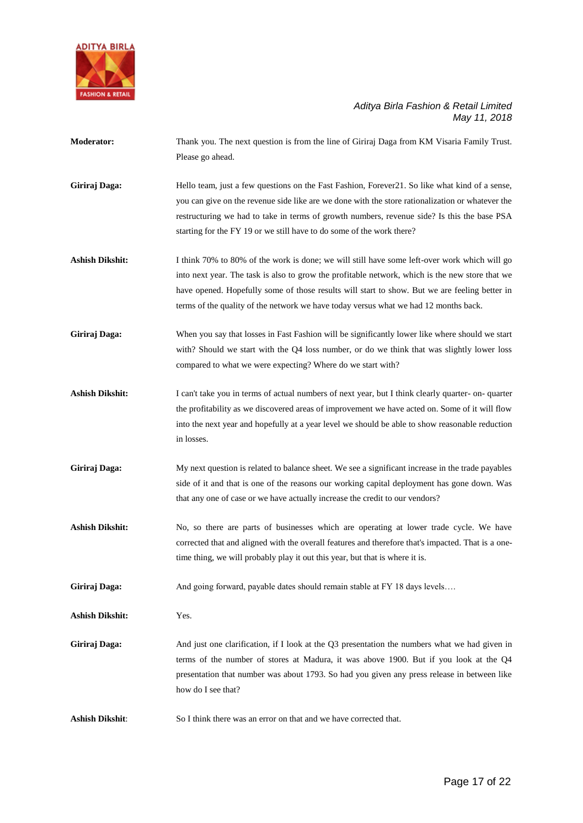

**Moderator:** Thank you. The next question is from the line of Giriraj Daga from KM Visaria Family Trust. Please go ahead.

Giriraj Daga: Hello team, just a few questions on the Fast Fashion, Forever21. So like what kind of a sense, you can give on the revenue side like are we done with the store rationalization or whatever the restructuring we had to take in terms of growth numbers, revenue side? Is this the base PSA starting for the FY 19 or we still have to do some of the work there?

- Ashish Dikshit: I think 70% to 80% of the work is done; we will still have some left-over work which will go into next year. The task is also to grow the profitable network, which is the new store that we have opened. Hopefully some of those results will start to show. But we are feeling better in terms of the quality of the network we have today versus what we had 12 months back.
- **Giriraj Daga:** When you say that losses in Fast Fashion will be significantly lower like where should we start with? Should we start with the Q4 loss number, or do we think that was slightly lower loss compared to what we were expecting? Where do we start with?
- Ashish Dikshit: I can't take you in terms of actual numbers of next year, but I think clearly quarter- on- quarter the profitability as we discovered areas of improvement we have acted on. Some of it will flow into the next year and hopefully at a year level we should be able to show reasonable reduction in losses.
- Giriraj Daga: My next question is related to balance sheet. We see a significant increase in the trade payables side of it and that is one of the reasons our working capital deployment has gone down. Was that any one of case or we have actually increase the credit to our vendors?
- Ashish Dikshit: No, so there are parts of businesses which are operating at lower trade cycle. We have corrected that and aligned with the overall features and therefore that's impacted. That is a onetime thing, we will probably play it out this year, but that is where it is.

Giriraj Daga: And going forward, payable dates should remain stable at FY 18 days levels....

**Ashish Dikshit:** Yes.

- **Giriraj Daga:** And just one clarification, if I look at the Q3 presentation the numbers what we had given in terms of the number of stores at Madura, it was above 1900. But if you look at the Q4 presentation that number was about 1793. So had you given any press release in between like how do I see that?
- **Ashish Dikshit**: So I think there was an error on that and we have corrected that.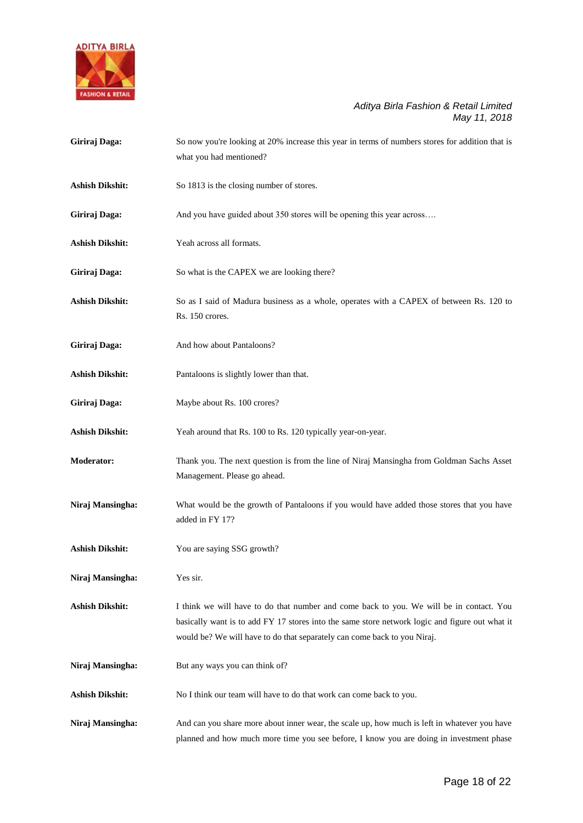

| Giriraj Daga:          | So now you're looking at 20% increase this year in terms of numbers stores for addition that is<br>what you had mentioned?                                                                                                                                            |
|------------------------|-----------------------------------------------------------------------------------------------------------------------------------------------------------------------------------------------------------------------------------------------------------------------|
| <b>Ashish Dikshit:</b> | So 1813 is the closing number of stores.                                                                                                                                                                                                                              |
| Giriraj Daga:          | And you have guided about 350 stores will be opening this year across                                                                                                                                                                                                 |
| <b>Ashish Dikshit:</b> | Yeah across all formats.                                                                                                                                                                                                                                              |
| Giriraj Daga:          | So what is the CAPEX we are looking there?                                                                                                                                                                                                                            |
| <b>Ashish Dikshit:</b> | So as I said of Madura business as a whole, operates with a CAPEX of between Rs. 120 to<br>Rs. 150 crores.                                                                                                                                                            |
| Giriraj Daga:          | And how about Pantaloons?                                                                                                                                                                                                                                             |
| <b>Ashish Dikshit:</b> | Pantaloons is slightly lower than that.                                                                                                                                                                                                                               |
| Giriraj Daga:          | Maybe about Rs. 100 crores?                                                                                                                                                                                                                                           |
| <b>Ashish Dikshit:</b> | Yeah around that Rs. 100 to Rs. 120 typically year-on-year.                                                                                                                                                                                                           |
| <b>Moderator:</b>      | Thank you. The next question is from the line of Niraj Mansingha from Goldman Sachs Asset<br>Management. Please go ahead.                                                                                                                                             |
| Niraj Mansingha:       | What would be the growth of Pantaloons if you would have added those stores that you have<br>added in FY 17?                                                                                                                                                          |
| <b>Ashish Dikshit:</b> | You are saying SSG growth?                                                                                                                                                                                                                                            |
| Niraj Mansingha:       | Yes sir.                                                                                                                                                                                                                                                              |
| <b>Ashish Dikshit:</b> | I think we will have to do that number and come back to you. We will be in contact. You<br>basically want is to add FY 17 stores into the same store network logic and figure out what it<br>would be? We will have to do that separately can come back to you Niraj. |
| Niraj Mansingha:       | But any ways you can think of?                                                                                                                                                                                                                                        |
| <b>Ashish Dikshit:</b> | No I think our team will have to do that work can come back to you.                                                                                                                                                                                                   |
| Niraj Mansingha:       | And can you share more about inner wear, the scale up, how much is left in whatever you have<br>planned and how much more time you see before, I know you are doing in investment phase                                                                               |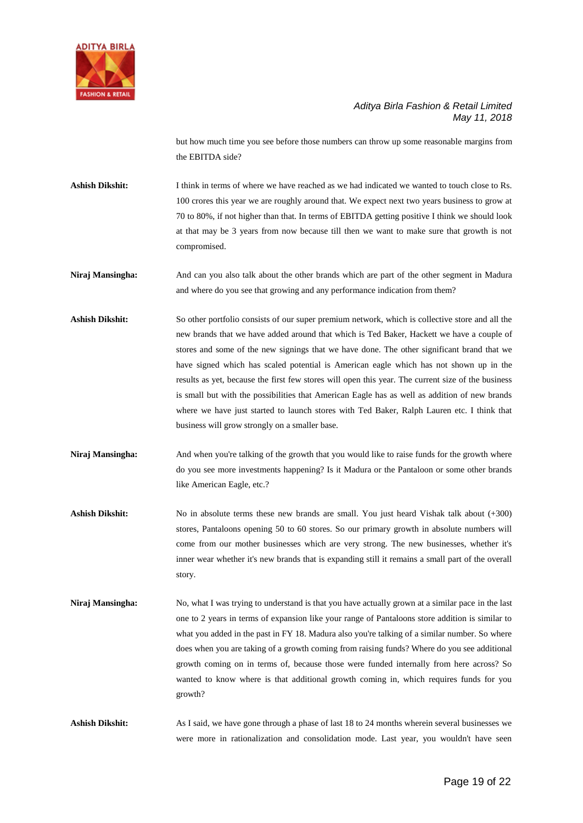

but how much time you see before those numbers can throw up some reasonable margins from the EBITDA side?

**Ashish Dikshit:** I think in terms of where we have reached as we had indicated we wanted to touch close to Rs. 100 crores this year we are roughly around that. We expect next two years business to grow at 70 to 80%, if not higher than that. In terms of EBITDA getting positive I think we should look at that may be 3 years from now because till then we want to make sure that growth is not compromised.

- **Niraj Mansingha:** And can you also talk about the other brands which are part of the other segment in Madura and where do you see that growing and any performance indication from them?
- **Ashish Dikshit:** So other portfolio consists of our super premium network, which is collective store and all the new brands that we have added around that which is Ted Baker, Hackett we have a couple of stores and some of the new signings that we have done. The other significant brand that we have signed which has scaled potential is American eagle which has not shown up in the results as yet, because the first few stores will open this year. The current size of the business is small but with the possibilities that American Eagle has as well as addition of new brands where we have just started to launch stores with Ted Baker, Ralph Lauren etc. I think that business will grow strongly on a smaller base.
- **Niraj Mansingha:** And when you're talking of the growth that you would like to raise funds for the growth where do you see more investments happening? Is it Madura or the Pantaloon or some other brands like American Eagle, etc.?
- Ashish Dikshit: No in absolute terms these new brands are small. You just heard Vishak talk about (+300) stores, Pantaloons opening 50 to 60 stores. So our primary growth in absolute numbers will come from our mother businesses which are very strong. The new businesses, whether it's inner wear whether it's new brands that is expanding still it remains a small part of the overall story.
- **Niraj Mansingha:** No, what I was trying to understand is that you have actually grown at a similar pace in the last one to 2 years in terms of expansion like your range of Pantaloons store addition is similar to what you added in the past in FY 18. Madura also you're talking of a similar number. So where does when you are taking of a growth coming from raising funds? Where do you see additional growth coming on in terms of, because those were funded internally from here across? So wanted to know where is that additional growth coming in, which requires funds for you growth?

**Ashish Dikshit:** As I said, we have gone through a phase of last 18 to 24 months wherein several businesses we were more in rationalization and consolidation mode. Last year, you wouldn't have seen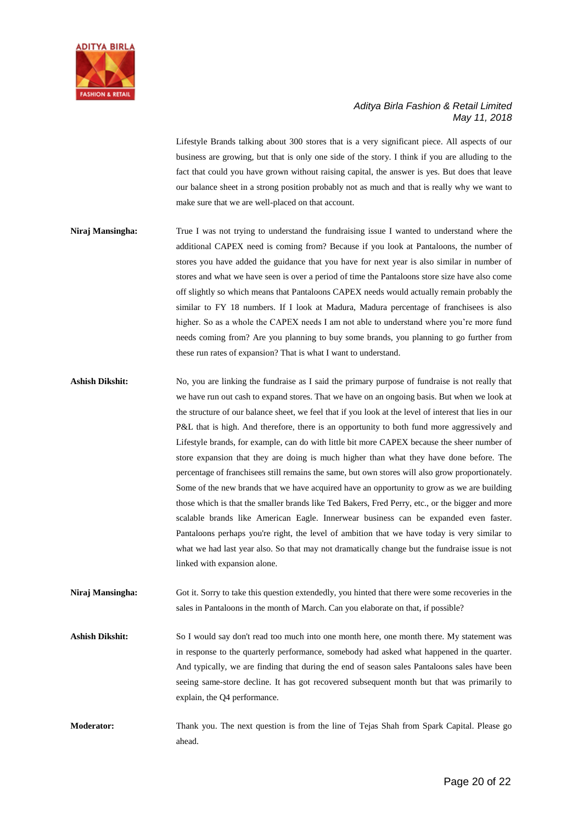

Lifestyle Brands talking about 300 stores that is a very significant piece. All aspects of our business are growing, but that is only one side of the story. I think if you are alluding to the fact that could you have grown without raising capital, the answer is yes. But does that leave our balance sheet in a strong position probably not as much and that is really why we want to make sure that we are well-placed on that account.

- **Niraj Mansingha:** True I was not trying to understand the fundraising issue I wanted to understand where the additional CAPEX need is coming from? Because if you look at Pantaloons, the number of stores you have added the guidance that you have for next year is also similar in number of stores and what we have seen is over a period of time the Pantaloons store size have also come off slightly so which means that Pantaloons CAPEX needs would actually remain probably the similar to FY 18 numbers. If I look at Madura, Madura percentage of franchisees is also higher. So as a whole the CAPEX needs I am not able to understand where you're more fund needs coming from? Are you planning to buy some brands, you planning to go further from these run rates of expansion? That is what I want to understand.
- **Ashish Dikshit:** No, you are linking the fundraise as I said the primary purpose of fundraise is not really that we have run out cash to expand stores. That we have on an ongoing basis. But when we look at the structure of our balance sheet, we feel that if you look at the level of interest that lies in our P&L that is high. And therefore, there is an opportunity to both fund more aggressively and Lifestyle brands, for example, can do with little bit more CAPEX because the sheer number of store expansion that they are doing is much higher than what they have done before. The percentage of franchisees still remains the same, but own stores will also grow proportionately. Some of the new brands that we have acquired have an opportunity to grow as we are building those which is that the smaller brands like Ted Bakers, Fred Perry, etc., or the bigger and more scalable brands like American Eagle. Innerwear business can be expanded even faster. Pantaloons perhaps you're right, the level of ambition that we have today is very similar to what we had last year also. So that may not dramatically change but the fundraise issue is not linked with expansion alone.
- **Niraj Mansingha:** Got it. Sorry to take this question extendedly, you hinted that there were some recoveries in the sales in Pantaloons in the month of March. Can you elaborate on that, if possible?
- **Ashish Dikshit:** So I would say don't read too much into one month here, one month there. My statement was in response to the quarterly performance, somebody had asked what happened in the quarter. And typically, we are finding that during the end of season sales Pantaloons sales have been seeing same-store decline. It has got recovered subsequent month but that was primarily to explain, the Q4 performance.
- **Moderator:** Thank you. The next question is from the line of Tejas Shah from Spark Capital. Please go ahead.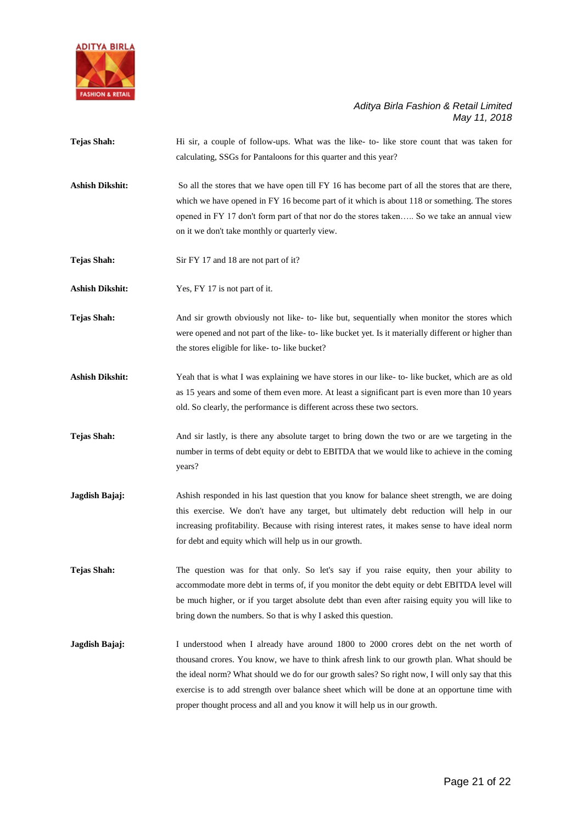

- **Tejas Shah:** Hi sir, a couple of follow-ups. What was the like- to- like store count that was taken for calculating, SSGs for Pantaloons for this quarter and this year?
- Ashish Dikshit: So all the stores that we have open till FY 16 has become part of all the stores that are there, which we have opened in FY 16 become part of it which is about 118 or something. The stores opened in FY 17 don't form part of that nor do the stores taken….. So we take an annual view on it we don't take monthly or quarterly view.
- **Tejas Shah:** Sir FY 17 and 18 are not part of it?

**Ashish Dikshit:** Yes, FY 17 is not part of it.

- **Tejas Shah:** And sir growth obviously not like- to- like but, sequentially when monitor the stores which were opened and not part of the like- to- like bucket yet. Is it materially different or higher than the stores eligible for like- to- like bucket?
- **Ashish Dikshit:** Yeah that is what I was explaining we have stores in our like- to- like bucket, which are as old as 15 years and some of them even more. At least a significant part is even more than 10 years old. So clearly, the performance is different across these two sectors.
- Tejas Shah: And sir lastly, is there any absolute target to bring down the two or are we targeting in the number in terms of debt equity or debt to EBITDA that we would like to achieve in the coming years?
- **Jagdish Bajaj:** Ashish responded in his last question that you know for balance sheet strength, we are doing this exercise. We don't have any target, but ultimately debt reduction will help in our increasing profitability. Because with rising interest rates, it makes sense to have ideal norm for debt and equity which will help us in our growth.
- **Tejas Shah:** The question was for that only. So let's say if you raise equity, then your ability to accommodate more debt in terms of, if you monitor the debt equity or debt EBITDA level will be much higher, or if you target absolute debt than even after raising equity you will like to bring down the numbers. So that is why I asked this question.
- **Jagdish Bajaj:** I understood when I already have around 1800 to 2000 crores debt on the net worth of thousand crores. You know, we have to think afresh link to our growth plan. What should be the ideal norm? What should we do for our growth sales? So right now, I will only say that this exercise is to add strength over balance sheet which will be done at an opportune time with proper thought process and all and you know it will help us in our growth.